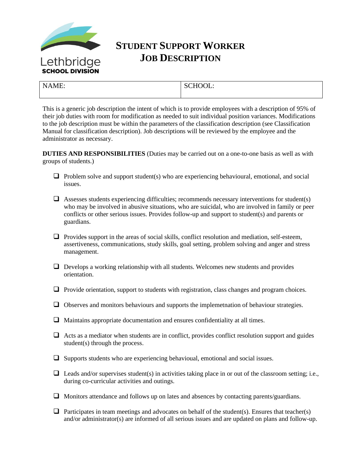

## **STUDENT SUPPORT WORKER JOB DESCRIPTION**

| $N\Delta$<br>ME. | <b>SCHOOL:</b><br>$\sim$ |
|------------------|--------------------------|
|                  |                          |

This is a generic job description the intent of which is to provide employees with a description of 95% of their job duties with room for modification as needed to suit individual position variances. Modifications to the job description must be within the parameters of the classification description (see Classification Manual for classification description). Job descriptions will be reviewed by the employee and the administrator as necessary.

**DUTIES AND RESPONSIBILITIES** (Duties may be carried out on a one-to-one basis as well as with groups of students.)

- $\Box$  Problem solve and support student(s) who are experiencing behavioural, emotional, and social issues.
- $\Box$  Assesses students experiencing difficulties; recommends necessary interventions for student(s) who may be involved in abusive situations, who are suicidal, who are involved in family or peer conflicts or other serious issues. Provides follow-up and support to student(s) and parents or guardians.
- □ Provides support in the areas of social skills, conflict resolution and mediation, self-esteem, assertiveness, communications, study skills, goal setting, problem solving and anger and stress management.
- $\Box$  Develops a working relationship with all students. Welcomes new students and provides orientation.
- □ Provide orientation, support to students with registration, class changes and program choices.
- □ Observes and monitors behaviours and supports the implemetnation of behaviour strategies.
- ❑ Maintains appropriate documentation and ensures confidentiality at all times.
- $\Box$  Acts as a mediator when students are in conflict, provides conflict resolution support and guides student(s) through the process.
- ❑ Supports students who are experiencing behavioual, emotional and social issues.
- $\Box$  Leads and/or supervises student(s) in activities taking place in or out of the classroom setting; i.e., during co-curricular activities and outings.
- ❑ Monitors attendance and follows up on lates and absences by contacting parents/guardians.
- $\Box$  Participates in team meetings and advocates on behalf of the student(s). Ensures that teacher(s) and/or administrator(s) are informed of all serious issues and are updated on plans and follow-up.